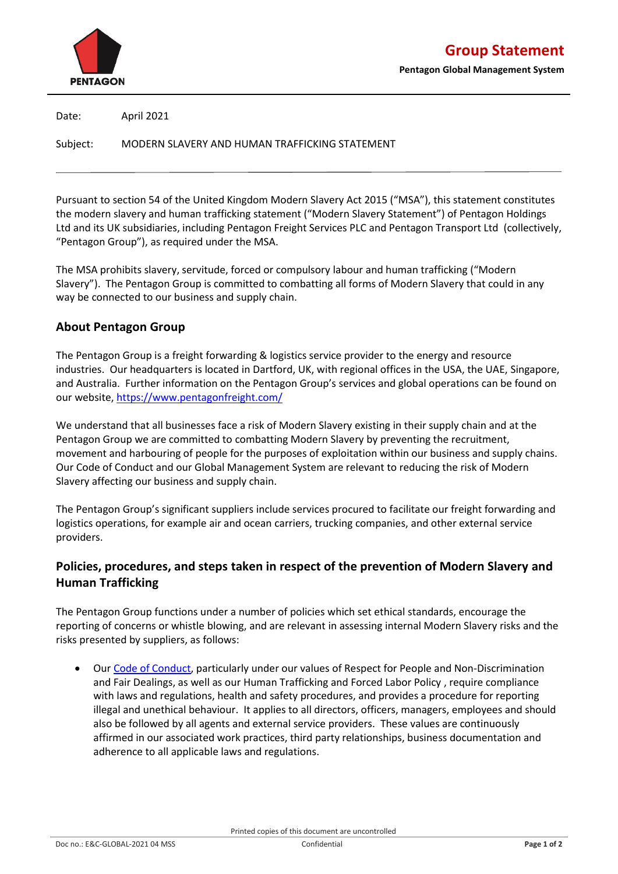

**Pentagon Global Management System**

Date: April 2021

Subject: MODERN SLAVERY AND HUMAN TRAFFICKING STATEMENT

Pursuant to section 54 of the United Kingdom Modern Slavery Act 2015 ("MSA"), this statement constitutes the modern slavery and human trafficking statement ("Modern Slavery Statement") of Pentagon Holdings Ltd and its UK subsidiaries, including Pentagon Freight Services PLC and Pentagon Transport Ltd (collectively, "Pentagon Group"), as required under the MSA.

The MSA prohibits slavery, servitude, forced or compulsory labour and human trafficking ("Modern Slavery"). The Pentagon Group is committed to combatting all forms of Modern Slavery that could in any way be connected to our business and supply chain.

## **About Pentagon Group**

The Pentagon Group is a freight forwarding & logistics service provider to the energy and resource industries. Our headquarters is located in Dartford, UK, with regional offices in the USA, the UAE, Singapore, and Australia. Further information on the Pentagon Group's services and global operations can be found on our website,<https://www.pentagonfreight.com/>

We understand that all businesses face a risk of Modern Slavery existing in their supply chain and at the Pentagon Group we are committed to combatting Modern Slavery by preventing the recruitment, movement and harbouring of people for the purposes of exploitation within our business and supply chains. Our Code of Conduct and our Global Management System are relevant to reducing the risk of Modern Slavery affecting our business and supply chain.

The Pentagon Group's significant suppliers include services procured to facilitate our freight forwarding and logistics operations, for example air and ocean carriers, trucking companies, and other external service providers.

## **Policies, procedures, and steps taken in respect of the prevention of Modern Slavery and Human Trafficking**

The Pentagon Group functions under a number of policies which set ethical standards, encourage the reporting of concerns or whistle blowing, and are relevant in assessing internal Modern Slavery risks and the risks presented by suppliers, as follows:

• Our [Code of Conduct,](http://www.pentagonfreight.com/uploaded_files/Code%20of%20Conduct.8G_April%202018) particularly under our values of Respect for People and Non-Discrimination and Fair Dealings, as well as our Human Trafficking and Forced Labor Policy , require compliance with laws and regulations, health and safety procedures, and provides a procedure for reporting illegal and unethical behaviour. It applies to all directors, officers, managers, employees and should also be followed by all agents and external service providers. These values are continuously affirmed in our associated work practices, third party relationships, business documentation and adherence to all applicable laws and regulations.